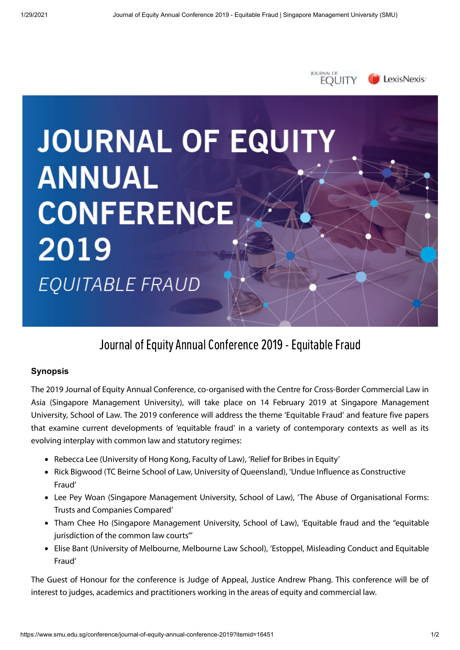

JOURNAL O

# **JOURNAL OF EQUITY ANNUAL CONFERENCE** 2019 EQUITABLE FRAUD

## Journal of Equity Annual Conference 2019 - Equitable Fraud

## **Synopsis**

The 2019 Journal of Equity Annual Conference, co-organised with the Centre for Cross-Border Commercial Law in Asia (Singapore Management University), will take place on 14 February 2019 at Singapore Management University, School of Law. The 2019 conference will address the theme 'Equitable Fraud' and feature five papers that examine current developments of 'equitable fraud' in a variety of contemporary contexts as well as its evolving interplay with common law and statutory regimes:

- Rebecca Lee (University of Hong Kong, Faculty of Law), 'Relief for Bribes in Equity'
- Rick Bigwood (TC Beirne School of Law, University of Queensland), 'Undue Influence as Constructive Fraud'
- Lee Pey Woan (Singapore Management University, School of Law), 'The Abuse of Organisational Forms: Trusts and Companies Compared'
- Tham Chee Ho (Singapore Management University, School of Law), 'Equitable fraud and the "equitable jurisdiction of the common law courts"
- Elise Bant (University of Melbourne, Melbourne Law School), 'Estoppel, Misleading Conduct and Equitable Fraud'

The Guest of Honour for the conference is Judge of Appeal, Justice Andrew Phang. This conference will be of interest to judges, academics and practitioners working in the areas of equity and commercial law.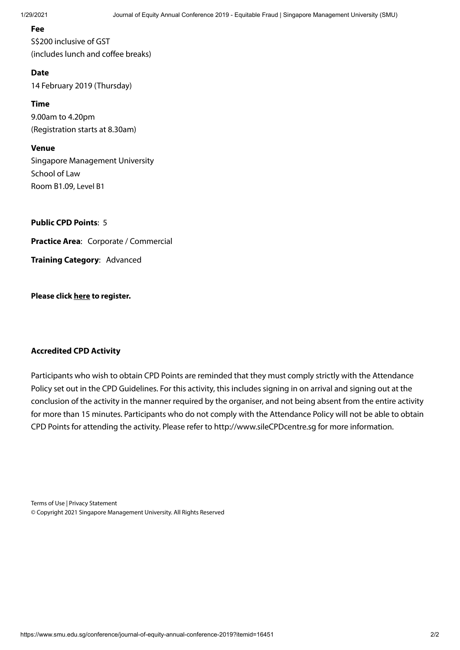### **Fee**

S\$200 inclusive of GST (includes lunch and coffee breaks)

### **Date**

14 February 2019 (Thursday)

**Time**

9.00am to 4.20pm (Registration starts at 8.30am)

**Venue**

Singapore Management University School of Law Room B1.09, Level B1

**Public CPD Points**: 5

**Practice Area**: Corporate / Commercial

**Training Category**: Advanced

**Please click [here](https://www.regonline.com/SMU_CEBCLA_20190214) to register.**

### **Accredited CPD Activity**

Participants who wish to obtain CPD Points are reminded that they must comply strictly with the Attendance Policy set out in the CPD Guidelines. For this activity, this includes signing in on arrival and signing out at the conclusion of the activity in the manner required by the organiser, and not being absent from the entire activity for more than 15 minutes. Participants who do not comply with the Attendance Policy will not be able to obtain CPD Points for attending the activity. Please refer to [http://www.sileCPDcentre.sg](http://www.silecpdcentre.sg/) for more information.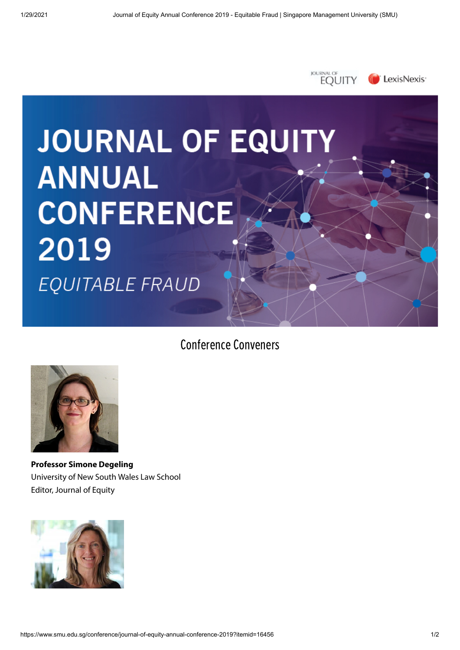

## Conference Conveners



**Professor Simone Degeling**  University of New South Wales Law School Editor, Journal of Equity

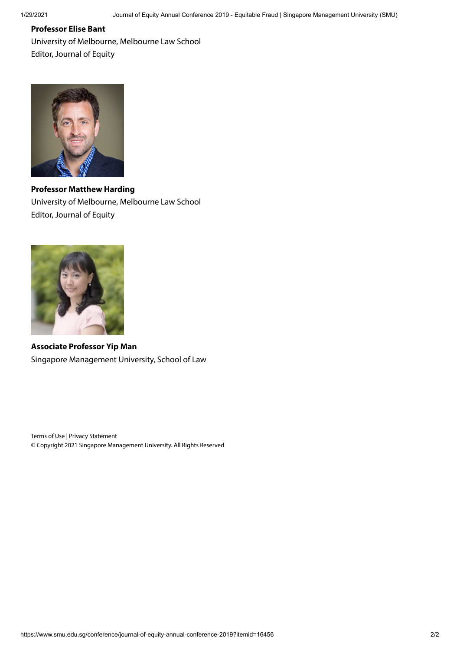## **Professor Elise Bant**

University of Melbourne, Melbourne Law School Editor, Journal of Equity



**Professor Matthew Harding** University of Melbourne, Melbourne Law School Editor, Journal of Equity



**Associate Professor Yip Man** Singapore Management University, School of Law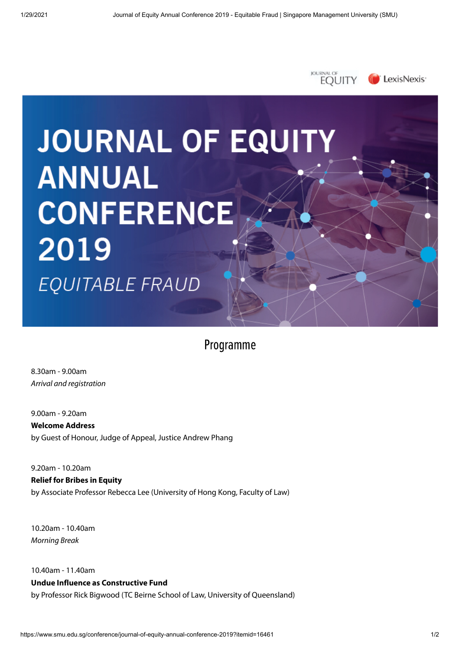

## Programme

8.30am - 9.00am Arrival and registration

9.00am - 9.20am **Welcome Address** by Guest of Honour, Judge of Appeal, Justice Andrew Phang

9.20am - 10.20am **Relief for Bribes in Equity** by Associate Professor Rebecca Lee (University of Hong Kong, Faculty of Law)

10.20am - 10.40am Morning Break

10.40am - 11.40am **Undue Influence as Constructive Fund** by Professor Rick Bigwood (TC Beirne School of Law, University of Queensland)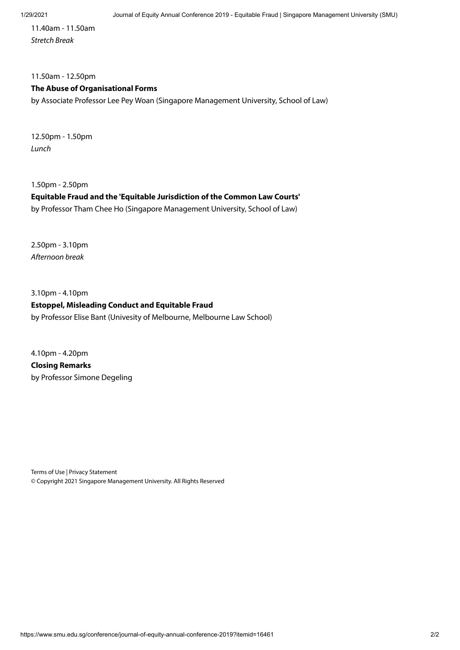11.40am - 11.50am Stretch Break

## 11.50am - 12.50pm **The Abuse of Organisational Forms**

by Associate Professor Lee Pey Woan (Singapore Management University, School of Law)

12.50pm - 1.50pm Lunch

1.50pm - 2.50pm

### **Equitable Fraud and the 'Equitable Jurisdiction of the Common Law Courts'**

by Professor Tham Chee Ho (Singapore Management University, School of Law)

2.50pm - 3.10pm Afternoon break

3.10pm - 4.10pm **Estoppel, Misleading Conduct and Equitable Fraud** by Professor Elise Bant (Univesity of Melbourne, Melbourne Law School)

4.10pm - 4.20pm **Closing Remarks** by Professor Simone Degeling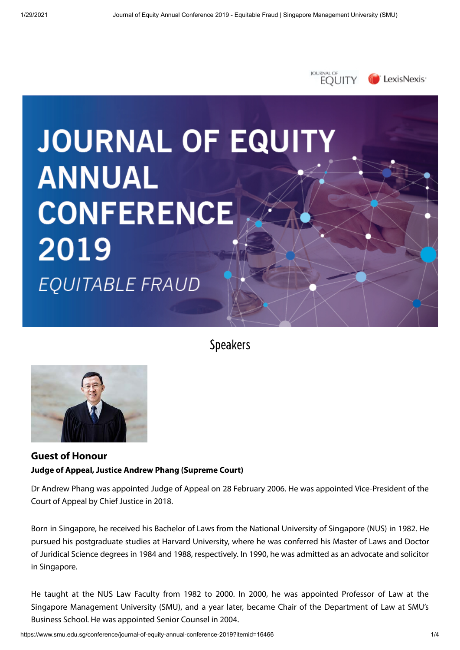

Speakers



## **Guest of Honour Judge of Appeal, Justice Andrew Phang (Supreme Court)**

Dr Andrew Phang was appointed Judge of Appeal on 28 February 2006. He was appointed Vice-President of the Court of Appeal by Chief Justice in 2018.

Born in Singapore, he received his Bachelor of Laws from the National University of Singapore (NUS) in 1982. He pursued his postgraduate studies at Harvard University, where he was conferred his Master of Laws and Doctor of Juridical Science degrees in 1984 and 1988, respectively. In 1990, he was admitted as an advocate and solicitor in Singapore.

He taught at the NUS Law Faculty from 1982 to 2000. In 2000, he was appointed Professor of Law at the Singapore Management University (SMU), and a year later, became Chair of the Department of Law at SMU's Business School. He was appointed Senior Counsel in 2004.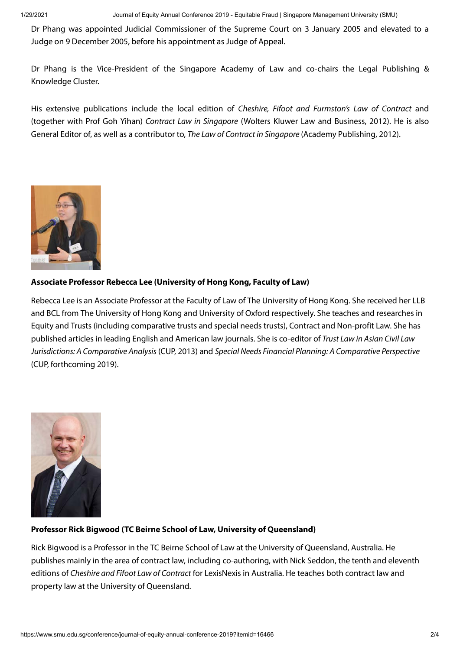Dr Phang was appointed Judicial Commissioner of the Supreme Court on 3 January 2005 and elevated to a Judge on 9 December 2005, before his appointment as Judge of Appeal.

Dr Phang is the Vice-President of the Singapore Academy of Law and co-chairs the Legal Publishing & Knowledge Cluster.

His extensive publications include the local edition of Cheshire, Fifoot and Furmston's Law of Contract and (together with Prof Goh Yihan) Contract Law in Singapore (Wolters Kluwer Law and Business, 2012). He is also General Editor of, as well as a contributor to, The Law of Contract in Singapore (Academy Publishing, 2012).



## **Associate Professor Rebecca Lee (University of Hong Kong, Faculty of Law)**

Rebecca Lee is an Associate Professor at the Faculty of Law of The University of Hong Kong. She received her LLB and BCL from The University of Hong Kong and University of Oxford respectively. She teaches and researches in Equity and Trusts (including comparative trusts and special needs trusts), Contract and Non-profit Law. She has published articles in leading English and American law journals. She is co-editor of Trust Law in Asian Civil Law Jurisdictions: A Comparative Analysis (CUP, 2013) and Special Needs Financial Planning: A Comparative Perspective (CUP, forthcoming 2019).



## **Professor Rick Bigwood (TC Beirne School of Law, University of Queensland)**

Rick Bigwood is a Professor in the TC Beirne School of Law at the University of Queensland, Australia. He publishes mainly in the area of contract law, including co-authoring, with Nick Seddon, the tenth and eleventh editions of Cheshire and Fifoot Law of Contract for LexisNexis in Australia. He teaches both contract law and property law at the University of Queensland.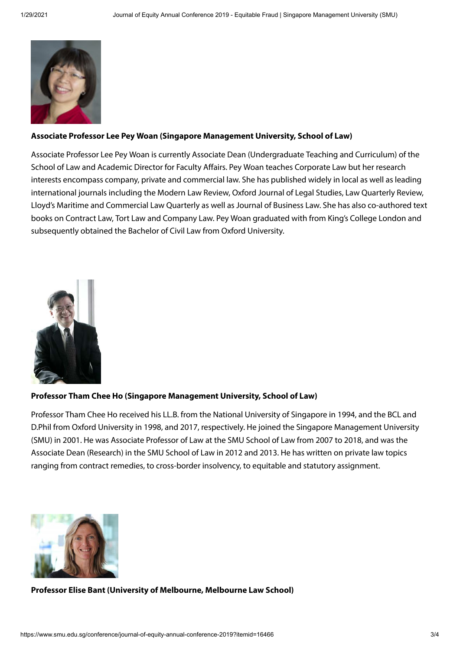

### **Associate Professor Lee Pey Woan (Singapore Management University, School of Law)**

Associate Professor Lee Pey Woan is currently Associate Dean (Undergraduate Teaching and Curriculum) of the School of Law and Academic Director for Faculty Affairs. Pey Woan teaches Corporate Law but her research interests encompass company, private and commercial law. She has published widely in local as well as leading international journals including the Modern Law Review, Oxford Journal of Legal Studies, Law Quarterly Review, Lloyd's Maritime and Commercial Law Quarterly as well as Journal of Business Law. She has also co-authored text books on Contract Law, Tort Law and Company Law. Pey Woan graduated with from King's College London and subsequently obtained the Bachelor of Civil Law from Oxford University.



#### **Professor Tham Chee Ho (Singapore Management University, School of Law)**

Professor Tham Chee Ho received his LL.B. from the National University of Singapore in 1994, and the BCL and D.Phil from Oxford University in 1998, and 2017, respectively. He joined the Singapore Management University (SMU) in 2001. He was Associate Professor of Law at the SMU School of Law from 2007 to 2018, and was the Associate Dean (Research) in the SMU School of Law in 2012 and 2013. He has written on private law topics ranging from contract remedies, to cross-border insolvency, to equitable and statutory assignment.



#### **Professor Elise Bant (University of Melbourne, Melbourne Law School)**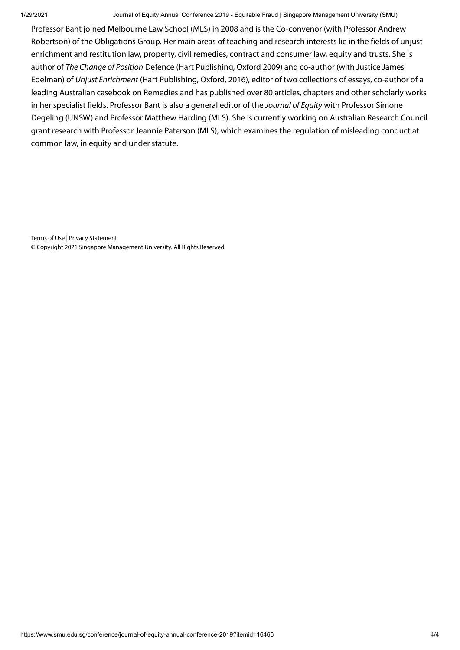Professor Bant joined Melbourne Law School (MLS) in 2008 and is the Co-convenor (with Professor Andrew Robertson) of the Obligations Group. Her main areas of teaching and research interests lie in the fields of unjust enrichment and restitution law, property, civil remedies, contract and consumer law, equity and trusts. She is author of The Change of Position Defence (Hart Publishing, Oxford 2009) and co-author (with Justice James Edelman) of Unjust Enrichment (Hart Publishing, Oxford, 2016), editor of two collections of essays, co-author of a leading Australian casebook on Remedies and has published over 80 articles, chapters and other scholarly works in her specialist fields. Professor Bant is also a general editor of the Journal of Equity with Professor Simone Degeling (UNSW) and Professor Matthew Harding (MLS). She is currently working on Australian Research Council grant research with Professor Jeannie Paterson (MLS), which examines the regulation of misleading conduct at common law, in equity and under statute.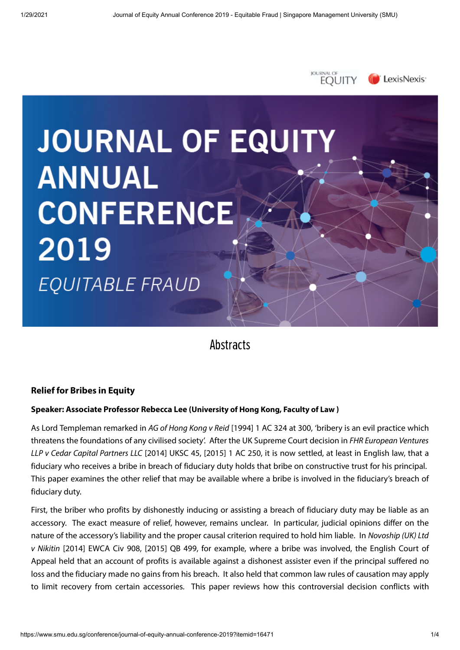

## **Abstracts**

## **Relief for Bribes in Equity**

### **Speaker: Associate Professor Rebecca Lee (University of Hong Kong, Faculty of Law )**

As Lord Templeman remarked in AG of Hong Kong v Reid [1994] 1 AC 324 at 300, 'bribery is an evil practice which threatens the foundations of any civilised society'. After the UK Supreme Court decision in FHR European Ventures LLP v Cedar Capital Partners LLC [2014] UKSC 45, [2015] 1 AC 250, it is now settled, at least in English law, that a fiduciary who receives a bribe in breach of fiduciary duty holds that bribe on constructive trust for his principal. This paper examines the other relief that may be available where a bribe is involved in the fiduciary's breach of fiduciary duty.

First, the briber who profits by dishonestly inducing or assisting a breach of fiduciary duty may be liable as an accessory. The exact measure of relief, however, remains unclear. In particular, judicial opinions differ on the nature of the accessory's liability and the proper causal criterion required to hold him liable. In Novoship (UK) Ltd v Nikitin [2014] EWCA Civ 908, [2015] QB 499, for example, where a bribe was involved, the English Court of Appeal held that an account of profits is available against a dishonest assister even if the principal suffered no loss and the fiduciary made no gains from his breach. It also held that common law rules of causation may apply to limit recovery from certain accessories. This paper reviews how this controversial decision conflicts with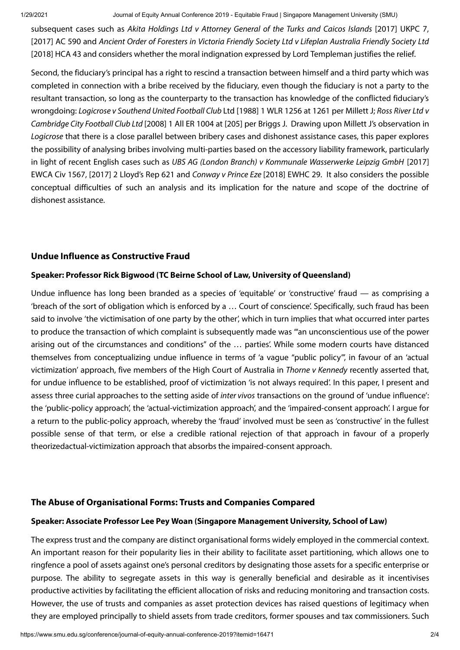subsequent cases such as Akita Holdings Ltd v Attorney General of the Turks and Caicos Islands [2017] UKPC 7, [2017] AC 590 and Ancient Order of Foresters in Victoria Friendly Society Ltd v Lifeplan Australia Friendly Society Ltd [2018] HCA 43 and considers whether the moral indignation expressed by Lord Templeman justifies the relief.

Second, the fiduciary's principal has a right to rescind a transaction between himself and a third party which was completed in connection with a bribe received by the fiduciary, even though the fiduciary is not a party to the resultant transaction, so long as the counterparty to the transaction has knowledge of the conflicted fiduciary's wrongdoing: Logicrose v Southend United Football Club Ltd [1988] 1 WLR 1256 at 1261 per Millett J; Ross River Ltd v Cambridge City Football Club Ltd [2008] 1 All ER 1004 at [205] per Briggs J. Drawing upon Millett J's observation in Logicrose that there is a close parallel between bribery cases and dishonest assistance cases, this paper explores the possibility of analysing bribes involving multi-parties based on the accessory liability framework, particularly in light of recent English cases such as UBS AG (London Branch) v Kommunale Wasserwerke Leipzig GmbH [2017] EWCA Civ 1567, [2017] 2 Lloyd's Rep 621 and Conway v Prince Eze [2018] EWHC 29. It also considers the possible conceptual difficulties of such an analysis and its implication for the nature and scope of the doctrine of dishonest assistance.

## **Undue Influence as Constructive Fraud**

### **Speaker: Professor Rick Bigwood (TC Beirne School of Law, University of Queensland)**

Undue influence has long been branded as a species of 'equitable' or 'constructive' fraud — as comprising a 'breach of the sort of obligation which is enforced by a … Court of conscience'. Specifically, such fraud has been said to involve 'the victimisation of one party by the other', which in turn implies that what occurred inter partes to produce the transaction of which complaint is subsequently made was '"an unconscientious use of the power arising out of the circumstances and conditions" of the … parties'. While some modern courts have distanced themselves from conceptualizing undue influence in terms of 'a vague "public policy"', in favour of an 'actual victimization' approach, five members of the High Court of Australia in Thorne v Kennedy recently asserted that, for undue influence to be established, proof of victimization 'is not always required'. In this paper, I present and assess three curial approaches to the setting aside of inter vivos transactions on the ground of 'undue influence': the 'public-policy approach', the 'actual-victimization approach', and the 'impaired-consent approach'. I argue for a return to the public-policy approach, whereby the 'fraud' involved must be seen as 'constructive' in the fullest possible sense of that term, or else a credible rational rejection of that approach in favour of a properly theorizedactual-victimization approach that absorbs the impaired-consent approach.

### **The Abuse of Organisational Forms: Trusts and Companies Compared**

#### **Speaker: Associate Professor Lee Pey Woan (Singapore Management University, School of Law)**

The express trust and the company are distinct organisational forms widely employed in the commercial context. An important reason for their popularity lies in their ability to facilitate asset partitioning, which allows one to ringfence a pool of assets against one's personal creditors by designating those assets for a specific enterprise or purpose. The ability to segregate assets in this way is generally beneficial and desirable as it incentivises productive activities by facilitating the efficient allocation of risks and reducing monitoring and transaction costs. However, the use of trusts and companies as asset protection devices has raised questions of legitimacy when they are employed principally to shield assets from trade creditors, former spouses and tax commissioners. Such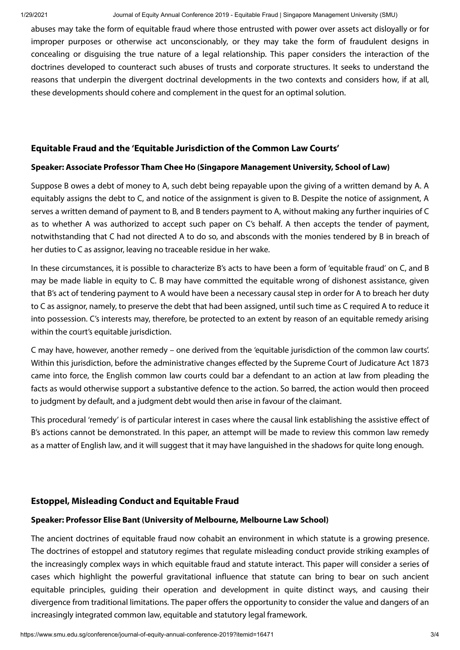abuses may take the form of equitable fraud where those entrusted with power over assets act disloyally or for improper purposes or otherwise act unconscionably, or they may take the form of fraudulent designs in concealing or disguising the true nature of a legal relationship. This paper considers the interaction of the doctrines developed to counteract such abuses of trusts and corporate structures. It seeks to understand the reasons that underpin the divergent doctrinal developments in the two contexts and considers how, if at all, these developments should cohere and complement in the quest for an optimal solution.

## **Equitable Fraud and the 'Equitable Jurisdiction of the Common Law Courts'**

### **Speaker: Associate Professor Tham Chee Ho (Singapore Management University, School of Law)**

Suppose B owes a debt of money to A, such debt being repayable upon the giving of a written demand by A. A equitably assigns the debt to C, and notice of the assignment is given to B. Despite the notice of assignment, A serves a written demand of payment to B, and B tenders payment to A, without making any further inquiries of C as to whether A was authorized to accept such paper on C's behalf. A then accepts the tender of payment, notwithstanding that C had not directed A to do so, and absconds with the monies tendered by B in breach of her duties to C as assignor, leaving no traceable residue in her wake.

In these circumstances, it is possible to characterize B's acts to have been a form of 'equitable fraud' on C, and B may be made liable in equity to C. B may have committed the equitable wrong of dishonest assistance, given that B's act of tendering payment to A would have been a necessary causal step in order for A to breach her duty to C as assignor, namely, to preserve the debt that had been assigned, until such time as C required A to reduce it into possession. C's interests may, therefore, be protected to an extent by reason of an equitable remedy arising within the court's equitable jurisdiction.

C may have, however, another remedy – one derived from the 'equitable jurisdiction of the common law courts'. Within this jurisdiction, before the administrative changes effected by the Supreme Court of Judicature Act 1873 came into force, the English common law courts could bar a defendant to an action at law from pleading the facts as would otherwise support a substantive defence to the action. So barred, the action would then proceed to judgment by default, and a judgment debt would then arise in favour of the claimant.

This procedural 'remedy' is of particular interest in cases where the causal link establishing the assistive effect of B's actions cannot be demonstrated. In this paper, an attempt will be made to review this common law remedy as a matter of English law, and it will suggest that it may have languished in the shadows for quite long enough.

## **Estoppel, Misleading Conduct and Equitable Fraud**

## **Speaker: Professor Elise Bant (University of Melbourne, Melbourne Law School)**

The ancient doctrines of equitable fraud now cohabit an environment in which statute is a growing presence. The doctrines of estoppel and statutory regimes that regulate misleading conduct provide striking examples of the increasingly complex ways in which equitable fraud and statute interact. This paper will consider a series of cases which highlight the powerful gravitational influence that statute can bring to bear on such ancient equitable principles, guiding their operation and development in quite distinct ways, and causing their divergence from traditional limitations. The paper offers the opportunity to consider the value and dangers of an increasingly integrated common law, equitable and statutory legal framework.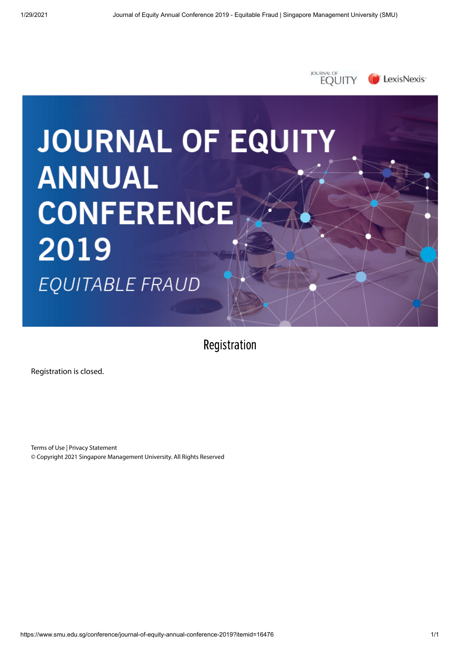

Registration

Registration is closed.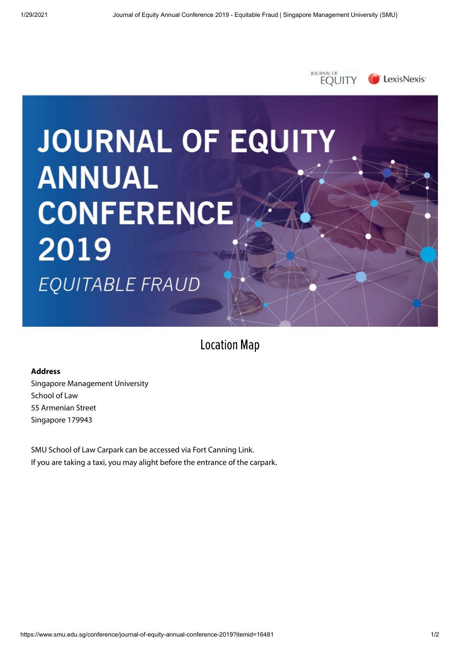

Location Map

#### **Address**

Singapore Management University School of Law 55 Armenian Street Singapore 179943

SMU School of Law Carpark can be accessed via Fort Canning Link. If you are taking a taxi, you may alight before the entrance of the carpark.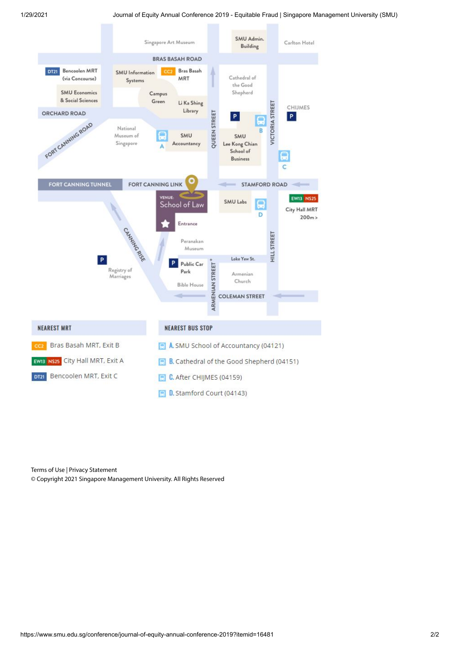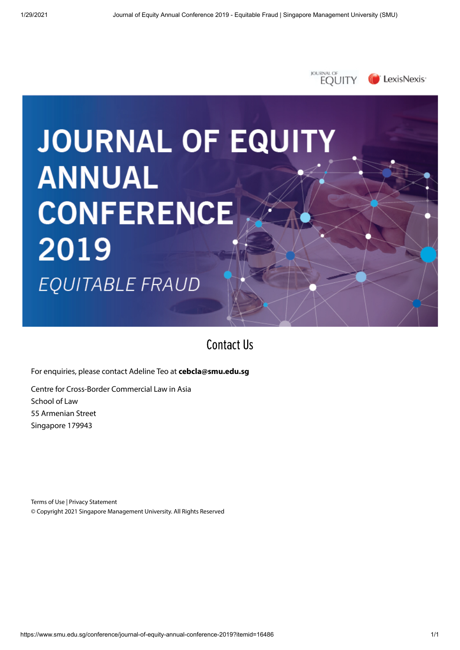

Contact Us

For enquiries, please contact Adeline Teo at **[cebcla@smu.edu.sg](mailto:cebcla@smu.edu.sg)**

Centre for Cross-Border Commercial Law in Asia School of Law 55 Armenian Street Singapore 179943